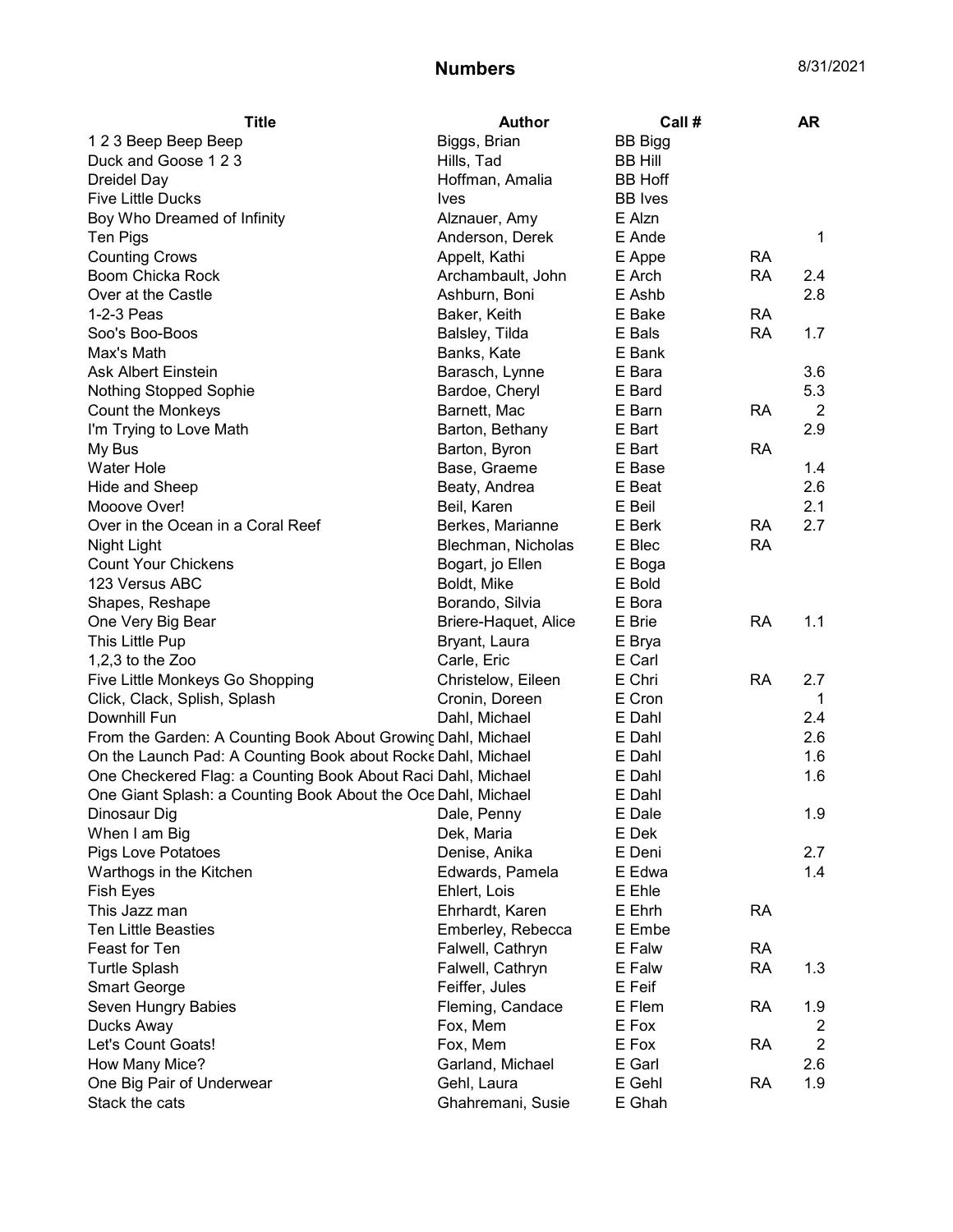| 123 Beep Beep Beep<br>Biggs, Brian<br><b>BB Bigg</b><br>Duck and Goose 123<br>Hills, Tad<br><b>BB Hill</b><br><b>Dreidel Day</b><br>Hoffman, Amalia<br><b>BB Hoff</b><br><b>Five Little Ducks</b><br><b>BB</b> Ives<br><b>Ives</b><br>E Alzn<br>Boy Who Dreamed of Infinity<br>Alznauer, Amy<br>Anderson, Derek<br>E Ande<br>Ten Pigs<br>1<br><b>Counting Crows</b><br>Appelt, Kathi<br>E Appe<br><b>RA</b><br>Boom Chicka Rock<br>Archambault, John<br>E Arch<br><b>RA</b><br>2.4<br>Ashburn, Boni<br>E Ashb<br>2.8<br>Over at the Castle<br>E Bake<br><b>RA</b><br>1-2-3 Peas<br>Baker, Keith<br>Soo's Boo-Boos<br>Balsley, Tilda<br>E Bals<br><b>RA</b><br>1.7<br>E Bank<br>Max's Math<br>Banks, Kate<br>Ask Albert Einstein<br>E Bara<br>3.6<br>Barasch, Lynne<br>Nothing Stopped Sophie<br>Bardoe, Cheryl<br>E Bard<br>5.3<br>Count the Monkeys<br>Barnett, Mac<br>E Barn<br><b>RA</b><br>2<br>2.9<br>E Bart<br>I'm Trying to Love Math<br>Barton, Bethany<br>E Bart<br>My Bus<br>Barton, Byron<br><b>RA</b><br>Water Hole<br>E Base<br>1.4<br>Base, Graeme<br>Beaty, Andrea<br>E Beat<br>2.6<br>Hide and Sheep<br>2.1<br>Mooove Over!<br>Beil, Karen<br>E Beil<br>2.7<br>Over in the Ocean in a Coral Reef<br>Berkes, Marianne<br><b>RA</b><br>E Berk<br>Blechman, Nicholas<br>E Blec<br><b>RA</b><br>Night Light<br><b>Count Your Chickens</b><br>Bogart, jo Ellen<br>E Boga<br>123 Versus ABC<br>E Bold<br>Boldt, Mike<br>E Bora<br>Shapes, Reshape<br>Borando, Silvia<br>One Very Big Bear<br>E Brie<br><b>RA</b><br>1.1<br>Briere-Haquet, Alice<br>This Little Pup<br>Bryant, Laura<br>E Brya<br>E Carl<br>1,2,3 to the Zoo<br>Carle, Eric<br>E Chri<br>Five Little Monkeys Go Shopping<br><b>RA</b><br>2.7<br>Christelow, Eileen<br>Cronin, Doreen<br>E Cron<br>Click, Clack, Splish, Splash<br>1<br>Downhill Fun<br>Dahl, Michael<br>E Dahl<br>2.4<br>From the Garden: A Counting Book About Growing Dahl, Michael<br>2.6<br>E Dahl<br>On the Launch Pad: A Counting Book about Rocke Dahl, Michael<br>E Dahl<br>1.6<br>One Checkered Flag: a Counting Book About Raci Dahl, Michael<br>E Dahl<br>1.6<br>One Giant Splash: a Counting Book About the Oce Dahl, Michael<br>E Dahl<br>1.9<br>Dinosaur Dig<br>E Dale<br>Dale, Penny<br>When I am Big<br>Dek, Maria<br>E Dek<br><b>Pigs Love Potatoes</b><br>Denise, Anika<br>E Deni<br>2.7<br>1.4<br>Warthogs in the Kitchen<br>Edwards, Pamela<br>E Edwa<br><b>Fish Eyes</b><br>Ehlert, Lois<br>E Ehle<br>Ehrhardt, Karen<br>E Ehrh<br><b>RA</b><br>This Jazz man<br><b>Ten Little Beasties</b><br>Emberley, Rebecca<br>E Embe<br>Feast for Ten<br>Falwell, Cathryn<br>E Falw<br><b>RA</b><br><b>Turtle Splash</b><br>Falwell, Cathryn<br>E Falw<br><b>RA</b><br>1.3<br><b>Smart George</b><br>Feiffer, Jules<br>E Feif<br>Seven Hungry Babies<br>Fleming, Candace<br>E Flem<br><b>RA</b><br>1.9<br>Ducks Away<br>Fox, Mem<br>E Fox<br>2<br>Let's Count Goats!<br>$\overline{2}$<br>Fox, Mem<br>E Fox<br><b>RA</b><br>E Garl<br>How Many Mice?<br>Garland, Michael<br>2.6<br>E Gehl<br>One Big Pair of Underwear<br>Gehl, Laura<br><b>RA</b><br>1.9 | <b>Title</b>   | Author            | Call # | <b>AR</b> |
|---------------------------------------------------------------------------------------------------------------------------------------------------------------------------------------------------------------------------------------------------------------------------------------------------------------------------------------------------------------------------------------------------------------------------------------------------------------------------------------------------------------------------------------------------------------------------------------------------------------------------------------------------------------------------------------------------------------------------------------------------------------------------------------------------------------------------------------------------------------------------------------------------------------------------------------------------------------------------------------------------------------------------------------------------------------------------------------------------------------------------------------------------------------------------------------------------------------------------------------------------------------------------------------------------------------------------------------------------------------------------------------------------------------------------------------------------------------------------------------------------------------------------------------------------------------------------------------------------------------------------------------------------------------------------------------------------------------------------------------------------------------------------------------------------------------------------------------------------------------------------------------------------------------------------------------------------------------------------------------------------------------------------------------------------------------------------------------------------------------------------------------------------------------------------------------------------------------------------------------------------------------------------------------------------------------------------------------------------------------------------------------------------------------------------------------------------------------------------------------------------------------------------------------------------------------------------------------------------------------------------------------------------------------------------------------------------------------------------------------------------------------------------------------------------------------------------------------------------------------------------------------------------------------------------------------------------------------------------------------------------------------------------------------------------------------------------------------------------------------|----------------|-------------------|--------|-----------|
|                                                                                                                                                                                                                                                                                                                                                                                                                                                                                                                                                                                                                                                                                                                                                                                                                                                                                                                                                                                                                                                                                                                                                                                                                                                                                                                                                                                                                                                                                                                                                                                                                                                                                                                                                                                                                                                                                                                                                                                                                                                                                                                                                                                                                                                                                                                                                                                                                                                                                                                                                                                                                                                                                                                                                                                                                                                                                                                                                                                                                                                                                                               |                |                   |        |           |
|                                                                                                                                                                                                                                                                                                                                                                                                                                                                                                                                                                                                                                                                                                                                                                                                                                                                                                                                                                                                                                                                                                                                                                                                                                                                                                                                                                                                                                                                                                                                                                                                                                                                                                                                                                                                                                                                                                                                                                                                                                                                                                                                                                                                                                                                                                                                                                                                                                                                                                                                                                                                                                                                                                                                                                                                                                                                                                                                                                                                                                                                                                               |                |                   |        |           |
|                                                                                                                                                                                                                                                                                                                                                                                                                                                                                                                                                                                                                                                                                                                                                                                                                                                                                                                                                                                                                                                                                                                                                                                                                                                                                                                                                                                                                                                                                                                                                                                                                                                                                                                                                                                                                                                                                                                                                                                                                                                                                                                                                                                                                                                                                                                                                                                                                                                                                                                                                                                                                                                                                                                                                                                                                                                                                                                                                                                                                                                                                                               |                |                   |        |           |
|                                                                                                                                                                                                                                                                                                                                                                                                                                                                                                                                                                                                                                                                                                                                                                                                                                                                                                                                                                                                                                                                                                                                                                                                                                                                                                                                                                                                                                                                                                                                                                                                                                                                                                                                                                                                                                                                                                                                                                                                                                                                                                                                                                                                                                                                                                                                                                                                                                                                                                                                                                                                                                                                                                                                                                                                                                                                                                                                                                                                                                                                                                               |                |                   |        |           |
|                                                                                                                                                                                                                                                                                                                                                                                                                                                                                                                                                                                                                                                                                                                                                                                                                                                                                                                                                                                                                                                                                                                                                                                                                                                                                                                                                                                                                                                                                                                                                                                                                                                                                                                                                                                                                                                                                                                                                                                                                                                                                                                                                                                                                                                                                                                                                                                                                                                                                                                                                                                                                                                                                                                                                                                                                                                                                                                                                                                                                                                                                                               |                |                   |        |           |
|                                                                                                                                                                                                                                                                                                                                                                                                                                                                                                                                                                                                                                                                                                                                                                                                                                                                                                                                                                                                                                                                                                                                                                                                                                                                                                                                                                                                                                                                                                                                                                                                                                                                                                                                                                                                                                                                                                                                                                                                                                                                                                                                                                                                                                                                                                                                                                                                                                                                                                                                                                                                                                                                                                                                                                                                                                                                                                                                                                                                                                                                                                               |                |                   |        |           |
|                                                                                                                                                                                                                                                                                                                                                                                                                                                                                                                                                                                                                                                                                                                                                                                                                                                                                                                                                                                                                                                                                                                                                                                                                                                                                                                                                                                                                                                                                                                                                                                                                                                                                                                                                                                                                                                                                                                                                                                                                                                                                                                                                                                                                                                                                                                                                                                                                                                                                                                                                                                                                                                                                                                                                                                                                                                                                                                                                                                                                                                                                                               |                |                   |        |           |
|                                                                                                                                                                                                                                                                                                                                                                                                                                                                                                                                                                                                                                                                                                                                                                                                                                                                                                                                                                                                                                                                                                                                                                                                                                                                                                                                                                                                                                                                                                                                                                                                                                                                                                                                                                                                                                                                                                                                                                                                                                                                                                                                                                                                                                                                                                                                                                                                                                                                                                                                                                                                                                                                                                                                                                                                                                                                                                                                                                                                                                                                                                               |                |                   |        |           |
|                                                                                                                                                                                                                                                                                                                                                                                                                                                                                                                                                                                                                                                                                                                                                                                                                                                                                                                                                                                                                                                                                                                                                                                                                                                                                                                                                                                                                                                                                                                                                                                                                                                                                                                                                                                                                                                                                                                                                                                                                                                                                                                                                                                                                                                                                                                                                                                                                                                                                                                                                                                                                                                                                                                                                                                                                                                                                                                                                                                                                                                                                                               |                |                   |        |           |
|                                                                                                                                                                                                                                                                                                                                                                                                                                                                                                                                                                                                                                                                                                                                                                                                                                                                                                                                                                                                                                                                                                                                                                                                                                                                                                                                                                                                                                                                                                                                                                                                                                                                                                                                                                                                                                                                                                                                                                                                                                                                                                                                                                                                                                                                                                                                                                                                                                                                                                                                                                                                                                                                                                                                                                                                                                                                                                                                                                                                                                                                                                               |                |                   |        |           |
|                                                                                                                                                                                                                                                                                                                                                                                                                                                                                                                                                                                                                                                                                                                                                                                                                                                                                                                                                                                                                                                                                                                                                                                                                                                                                                                                                                                                                                                                                                                                                                                                                                                                                                                                                                                                                                                                                                                                                                                                                                                                                                                                                                                                                                                                                                                                                                                                                                                                                                                                                                                                                                                                                                                                                                                                                                                                                                                                                                                                                                                                                                               |                |                   |        |           |
|                                                                                                                                                                                                                                                                                                                                                                                                                                                                                                                                                                                                                                                                                                                                                                                                                                                                                                                                                                                                                                                                                                                                                                                                                                                                                                                                                                                                                                                                                                                                                                                                                                                                                                                                                                                                                                                                                                                                                                                                                                                                                                                                                                                                                                                                                                                                                                                                                                                                                                                                                                                                                                                                                                                                                                                                                                                                                                                                                                                                                                                                                                               |                |                   |        |           |
|                                                                                                                                                                                                                                                                                                                                                                                                                                                                                                                                                                                                                                                                                                                                                                                                                                                                                                                                                                                                                                                                                                                                                                                                                                                                                                                                                                                                                                                                                                                                                                                                                                                                                                                                                                                                                                                                                                                                                                                                                                                                                                                                                                                                                                                                                                                                                                                                                                                                                                                                                                                                                                                                                                                                                                                                                                                                                                                                                                                                                                                                                                               |                |                   |        |           |
|                                                                                                                                                                                                                                                                                                                                                                                                                                                                                                                                                                                                                                                                                                                                                                                                                                                                                                                                                                                                                                                                                                                                                                                                                                                                                                                                                                                                                                                                                                                                                                                                                                                                                                                                                                                                                                                                                                                                                                                                                                                                                                                                                                                                                                                                                                                                                                                                                                                                                                                                                                                                                                                                                                                                                                                                                                                                                                                                                                                                                                                                                                               |                |                   |        |           |
|                                                                                                                                                                                                                                                                                                                                                                                                                                                                                                                                                                                                                                                                                                                                                                                                                                                                                                                                                                                                                                                                                                                                                                                                                                                                                                                                                                                                                                                                                                                                                                                                                                                                                                                                                                                                                                                                                                                                                                                                                                                                                                                                                                                                                                                                                                                                                                                                                                                                                                                                                                                                                                                                                                                                                                                                                                                                                                                                                                                                                                                                                                               |                |                   |        |           |
|                                                                                                                                                                                                                                                                                                                                                                                                                                                                                                                                                                                                                                                                                                                                                                                                                                                                                                                                                                                                                                                                                                                                                                                                                                                                                                                                                                                                                                                                                                                                                                                                                                                                                                                                                                                                                                                                                                                                                                                                                                                                                                                                                                                                                                                                                                                                                                                                                                                                                                                                                                                                                                                                                                                                                                                                                                                                                                                                                                                                                                                                                                               |                |                   |        |           |
|                                                                                                                                                                                                                                                                                                                                                                                                                                                                                                                                                                                                                                                                                                                                                                                                                                                                                                                                                                                                                                                                                                                                                                                                                                                                                                                                                                                                                                                                                                                                                                                                                                                                                                                                                                                                                                                                                                                                                                                                                                                                                                                                                                                                                                                                                                                                                                                                                                                                                                                                                                                                                                                                                                                                                                                                                                                                                                                                                                                                                                                                                                               |                |                   |        |           |
|                                                                                                                                                                                                                                                                                                                                                                                                                                                                                                                                                                                                                                                                                                                                                                                                                                                                                                                                                                                                                                                                                                                                                                                                                                                                                                                                                                                                                                                                                                                                                                                                                                                                                                                                                                                                                                                                                                                                                                                                                                                                                                                                                                                                                                                                                                                                                                                                                                                                                                                                                                                                                                                                                                                                                                                                                                                                                                                                                                                                                                                                                                               |                |                   |        |           |
|                                                                                                                                                                                                                                                                                                                                                                                                                                                                                                                                                                                                                                                                                                                                                                                                                                                                                                                                                                                                                                                                                                                                                                                                                                                                                                                                                                                                                                                                                                                                                                                                                                                                                                                                                                                                                                                                                                                                                                                                                                                                                                                                                                                                                                                                                                                                                                                                                                                                                                                                                                                                                                                                                                                                                                                                                                                                                                                                                                                                                                                                                                               |                |                   |        |           |
|                                                                                                                                                                                                                                                                                                                                                                                                                                                                                                                                                                                                                                                                                                                                                                                                                                                                                                                                                                                                                                                                                                                                                                                                                                                                                                                                                                                                                                                                                                                                                                                                                                                                                                                                                                                                                                                                                                                                                                                                                                                                                                                                                                                                                                                                                                                                                                                                                                                                                                                                                                                                                                                                                                                                                                                                                                                                                                                                                                                                                                                                                                               |                |                   |        |           |
|                                                                                                                                                                                                                                                                                                                                                                                                                                                                                                                                                                                                                                                                                                                                                                                                                                                                                                                                                                                                                                                                                                                                                                                                                                                                                                                                                                                                                                                                                                                                                                                                                                                                                                                                                                                                                                                                                                                                                                                                                                                                                                                                                                                                                                                                                                                                                                                                                                                                                                                                                                                                                                                                                                                                                                                                                                                                                                                                                                                                                                                                                                               |                |                   |        |           |
|                                                                                                                                                                                                                                                                                                                                                                                                                                                                                                                                                                                                                                                                                                                                                                                                                                                                                                                                                                                                                                                                                                                                                                                                                                                                                                                                                                                                                                                                                                                                                                                                                                                                                                                                                                                                                                                                                                                                                                                                                                                                                                                                                                                                                                                                                                                                                                                                                                                                                                                                                                                                                                                                                                                                                                                                                                                                                                                                                                                                                                                                                                               |                |                   |        |           |
|                                                                                                                                                                                                                                                                                                                                                                                                                                                                                                                                                                                                                                                                                                                                                                                                                                                                                                                                                                                                                                                                                                                                                                                                                                                                                                                                                                                                                                                                                                                                                                                                                                                                                                                                                                                                                                                                                                                                                                                                                                                                                                                                                                                                                                                                                                                                                                                                                                                                                                                                                                                                                                                                                                                                                                                                                                                                                                                                                                                                                                                                                                               |                |                   |        |           |
|                                                                                                                                                                                                                                                                                                                                                                                                                                                                                                                                                                                                                                                                                                                                                                                                                                                                                                                                                                                                                                                                                                                                                                                                                                                                                                                                                                                                                                                                                                                                                                                                                                                                                                                                                                                                                                                                                                                                                                                                                                                                                                                                                                                                                                                                                                                                                                                                                                                                                                                                                                                                                                                                                                                                                                                                                                                                                                                                                                                                                                                                                                               |                |                   |        |           |
|                                                                                                                                                                                                                                                                                                                                                                                                                                                                                                                                                                                                                                                                                                                                                                                                                                                                                                                                                                                                                                                                                                                                                                                                                                                                                                                                                                                                                                                                                                                                                                                                                                                                                                                                                                                                                                                                                                                                                                                                                                                                                                                                                                                                                                                                                                                                                                                                                                                                                                                                                                                                                                                                                                                                                                                                                                                                                                                                                                                                                                                                                                               |                |                   |        |           |
|                                                                                                                                                                                                                                                                                                                                                                                                                                                                                                                                                                                                                                                                                                                                                                                                                                                                                                                                                                                                                                                                                                                                                                                                                                                                                                                                                                                                                                                                                                                                                                                                                                                                                                                                                                                                                                                                                                                                                                                                                                                                                                                                                                                                                                                                                                                                                                                                                                                                                                                                                                                                                                                                                                                                                                                                                                                                                                                                                                                                                                                                                                               |                |                   |        |           |
|                                                                                                                                                                                                                                                                                                                                                                                                                                                                                                                                                                                                                                                                                                                                                                                                                                                                                                                                                                                                                                                                                                                                                                                                                                                                                                                                                                                                                                                                                                                                                                                                                                                                                                                                                                                                                                                                                                                                                                                                                                                                                                                                                                                                                                                                                                                                                                                                                                                                                                                                                                                                                                                                                                                                                                                                                                                                                                                                                                                                                                                                                                               |                |                   |        |           |
|                                                                                                                                                                                                                                                                                                                                                                                                                                                                                                                                                                                                                                                                                                                                                                                                                                                                                                                                                                                                                                                                                                                                                                                                                                                                                                                                                                                                                                                                                                                                                                                                                                                                                                                                                                                                                                                                                                                                                                                                                                                                                                                                                                                                                                                                                                                                                                                                                                                                                                                                                                                                                                                                                                                                                                                                                                                                                                                                                                                                                                                                                                               |                |                   |        |           |
|                                                                                                                                                                                                                                                                                                                                                                                                                                                                                                                                                                                                                                                                                                                                                                                                                                                                                                                                                                                                                                                                                                                                                                                                                                                                                                                                                                                                                                                                                                                                                                                                                                                                                                                                                                                                                                                                                                                                                                                                                                                                                                                                                                                                                                                                                                                                                                                                                                                                                                                                                                                                                                                                                                                                                                                                                                                                                                                                                                                                                                                                                                               |                |                   |        |           |
|                                                                                                                                                                                                                                                                                                                                                                                                                                                                                                                                                                                                                                                                                                                                                                                                                                                                                                                                                                                                                                                                                                                                                                                                                                                                                                                                                                                                                                                                                                                                                                                                                                                                                                                                                                                                                                                                                                                                                                                                                                                                                                                                                                                                                                                                                                                                                                                                                                                                                                                                                                                                                                                                                                                                                                                                                                                                                                                                                                                                                                                                                                               |                |                   |        |           |
|                                                                                                                                                                                                                                                                                                                                                                                                                                                                                                                                                                                                                                                                                                                                                                                                                                                                                                                                                                                                                                                                                                                                                                                                                                                                                                                                                                                                                                                                                                                                                                                                                                                                                                                                                                                                                                                                                                                                                                                                                                                                                                                                                                                                                                                                                                                                                                                                                                                                                                                                                                                                                                                                                                                                                                                                                                                                                                                                                                                                                                                                                                               |                |                   |        |           |
|                                                                                                                                                                                                                                                                                                                                                                                                                                                                                                                                                                                                                                                                                                                                                                                                                                                                                                                                                                                                                                                                                                                                                                                                                                                                                                                                                                                                                                                                                                                                                                                                                                                                                                                                                                                                                                                                                                                                                                                                                                                                                                                                                                                                                                                                                                                                                                                                                                                                                                                                                                                                                                                                                                                                                                                                                                                                                                                                                                                                                                                                                                               |                |                   |        |           |
|                                                                                                                                                                                                                                                                                                                                                                                                                                                                                                                                                                                                                                                                                                                                                                                                                                                                                                                                                                                                                                                                                                                                                                                                                                                                                                                                                                                                                                                                                                                                                                                                                                                                                                                                                                                                                                                                                                                                                                                                                                                                                                                                                                                                                                                                                                                                                                                                                                                                                                                                                                                                                                                                                                                                                                                                                                                                                                                                                                                                                                                                                                               |                |                   |        |           |
|                                                                                                                                                                                                                                                                                                                                                                                                                                                                                                                                                                                                                                                                                                                                                                                                                                                                                                                                                                                                                                                                                                                                                                                                                                                                                                                                                                                                                                                                                                                                                                                                                                                                                                                                                                                                                                                                                                                                                                                                                                                                                                                                                                                                                                                                                                                                                                                                                                                                                                                                                                                                                                                                                                                                                                                                                                                                                                                                                                                                                                                                                                               |                |                   |        |           |
|                                                                                                                                                                                                                                                                                                                                                                                                                                                                                                                                                                                                                                                                                                                                                                                                                                                                                                                                                                                                                                                                                                                                                                                                                                                                                                                                                                                                                                                                                                                                                                                                                                                                                                                                                                                                                                                                                                                                                                                                                                                                                                                                                                                                                                                                                                                                                                                                                                                                                                                                                                                                                                                                                                                                                                                                                                                                                                                                                                                                                                                                                                               |                |                   |        |           |
|                                                                                                                                                                                                                                                                                                                                                                                                                                                                                                                                                                                                                                                                                                                                                                                                                                                                                                                                                                                                                                                                                                                                                                                                                                                                                                                                                                                                                                                                                                                                                                                                                                                                                                                                                                                                                                                                                                                                                                                                                                                                                                                                                                                                                                                                                                                                                                                                                                                                                                                                                                                                                                                                                                                                                                                                                                                                                                                                                                                                                                                                                                               |                |                   |        |           |
|                                                                                                                                                                                                                                                                                                                                                                                                                                                                                                                                                                                                                                                                                                                                                                                                                                                                                                                                                                                                                                                                                                                                                                                                                                                                                                                                                                                                                                                                                                                                                                                                                                                                                                                                                                                                                                                                                                                                                                                                                                                                                                                                                                                                                                                                                                                                                                                                                                                                                                                                                                                                                                                                                                                                                                                                                                                                                                                                                                                                                                                                                                               |                |                   |        |           |
|                                                                                                                                                                                                                                                                                                                                                                                                                                                                                                                                                                                                                                                                                                                                                                                                                                                                                                                                                                                                                                                                                                                                                                                                                                                                                                                                                                                                                                                                                                                                                                                                                                                                                                                                                                                                                                                                                                                                                                                                                                                                                                                                                                                                                                                                                                                                                                                                                                                                                                                                                                                                                                                                                                                                                                                                                                                                                                                                                                                                                                                                                                               |                |                   |        |           |
|                                                                                                                                                                                                                                                                                                                                                                                                                                                                                                                                                                                                                                                                                                                                                                                                                                                                                                                                                                                                                                                                                                                                                                                                                                                                                                                                                                                                                                                                                                                                                                                                                                                                                                                                                                                                                                                                                                                                                                                                                                                                                                                                                                                                                                                                                                                                                                                                                                                                                                                                                                                                                                                                                                                                                                                                                                                                                                                                                                                                                                                                                                               |                |                   |        |           |
|                                                                                                                                                                                                                                                                                                                                                                                                                                                                                                                                                                                                                                                                                                                                                                                                                                                                                                                                                                                                                                                                                                                                                                                                                                                                                                                                                                                                                                                                                                                                                                                                                                                                                                                                                                                                                                                                                                                                                                                                                                                                                                                                                                                                                                                                                                                                                                                                                                                                                                                                                                                                                                                                                                                                                                                                                                                                                                                                                                                                                                                                                                               |                |                   |        |           |
|                                                                                                                                                                                                                                                                                                                                                                                                                                                                                                                                                                                                                                                                                                                                                                                                                                                                                                                                                                                                                                                                                                                                                                                                                                                                                                                                                                                                                                                                                                                                                                                                                                                                                                                                                                                                                                                                                                                                                                                                                                                                                                                                                                                                                                                                                                                                                                                                                                                                                                                                                                                                                                                                                                                                                                                                                                                                                                                                                                                                                                                                                                               |                |                   |        |           |
|                                                                                                                                                                                                                                                                                                                                                                                                                                                                                                                                                                                                                                                                                                                                                                                                                                                                                                                                                                                                                                                                                                                                                                                                                                                                                                                                                                                                                                                                                                                                                                                                                                                                                                                                                                                                                                                                                                                                                                                                                                                                                                                                                                                                                                                                                                                                                                                                                                                                                                                                                                                                                                                                                                                                                                                                                                                                                                                                                                                                                                                                                                               |                |                   |        |           |
|                                                                                                                                                                                                                                                                                                                                                                                                                                                                                                                                                                                                                                                                                                                                                                                                                                                                                                                                                                                                                                                                                                                                                                                                                                                                                                                                                                                                                                                                                                                                                                                                                                                                                                                                                                                                                                                                                                                                                                                                                                                                                                                                                                                                                                                                                                                                                                                                                                                                                                                                                                                                                                                                                                                                                                                                                                                                                                                                                                                                                                                                                                               |                |                   |        |           |
|                                                                                                                                                                                                                                                                                                                                                                                                                                                                                                                                                                                                                                                                                                                                                                                                                                                                                                                                                                                                                                                                                                                                                                                                                                                                                                                                                                                                                                                                                                                                                                                                                                                                                                                                                                                                                                                                                                                                                                                                                                                                                                                                                                                                                                                                                                                                                                                                                                                                                                                                                                                                                                                                                                                                                                                                                                                                                                                                                                                                                                                                                                               |                |                   |        |           |
|                                                                                                                                                                                                                                                                                                                                                                                                                                                                                                                                                                                                                                                                                                                                                                                                                                                                                                                                                                                                                                                                                                                                                                                                                                                                                                                                                                                                                                                                                                                                                                                                                                                                                                                                                                                                                                                                                                                                                                                                                                                                                                                                                                                                                                                                                                                                                                                                                                                                                                                                                                                                                                                                                                                                                                                                                                                                                                                                                                                                                                                                                                               |                |                   |        |           |
|                                                                                                                                                                                                                                                                                                                                                                                                                                                                                                                                                                                                                                                                                                                                                                                                                                                                                                                                                                                                                                                                                                                                                                                                                                                                                                                                                                                                                                                                                                                                                                                                                                                                                                                                                                                                                                                                                                                                                                                                                                                                                                                                                                                                                                                                                                                                                                                                                                                                                                                                                                                                                                                                                                                                                                                                                                                                                                                                                                                                                                                                                                               |                |                   |        |           |
|                                                                                                                                                                                                                                                                                                                                                                                                                                                                                                                                                                                                                                                                                                                                                                                                                                                                                                                                                                                                                                                                                                                                                                                                                                                                                                                                                                                                                                                                                                                                                                                                                                                                                                                                                                                                                                                                                                                                                                                                                                                                                                                                                                                                                                                                                                                                                                                                                                                                                                                                                                                                                                                                                                                                                                                                                                                                                                                                                                                                                                                                                                               |                |                   |        |           |
|                                                                                                                                                                                                                                                                                                                                                                                                                                                                                                                                                                                                                                                                                                                                                                                                                                                                                                                                                                                                                                                                                                                                                                                                                                                                                                                                                                                                                                                                                                                                                                                                                                                                                                                                                                                                                                                                                                                                                                                                                                                                                                                                                                                                                                                                                                                                                                                                                                                                                                                                                                                                                                                                                                                                                                                                                                                                                                                                                                                                                                                                                                               |                |                   |        |           |
|                                                                                                                                                                                                                                                                                                                                                                                                                                                                                                                                                                                                                                                                                                                                                                                                                                                                                                                                                                                                                                                                                                                                                                                                                                                                                                                                                                                                                                                                                                                                                                                                                                                                                                                                                                                                                                                                                                                                                                                                                                                                                                                                                                                                                                                                                                                                                                                                                                                                                                                                                                                                                                                                                                                                                                                                                                                                                                                                                                                                                                                                                                               |                |                   |        |           |
|                                                                                                                                                                                                                                                                                                                                                                                                                                                                                                                                                                                                                                                                                                                                                                                                                                                                                                                                                                                                                                                                                                                                                                                                                                                                                                                                                                                                                                                                                                                                                                                                                                                                                                                                                                                                                                                                                                                                                                                                                                                                                                                                                                                                                                                                                                                                                                                                                                                                                                                                                                                                                                                                                                                                                                                                                                                                                                                                                                                                                                                                                                               |                |                   |        |           |
|                                                                                                                                                                                                                                                                                                                                                                                                                                                                                                                                                                                                                                                                                                                                                                                                                                                                                                                                                                                                                                                                                                                                                                                                                                                                                                                                                                                                                                                                                                                                                                                                                                                                                                                                                                                                                                                                                                                                                                                                                                                                                                                                                                                                                                                                                                                                                                                                                                                                                                                                                                                                                                                                                                                                                                                                                                                                                                                                                                                                                                                                                                               | Stack the cats | Ghahremani, Susie | E Ghah |           |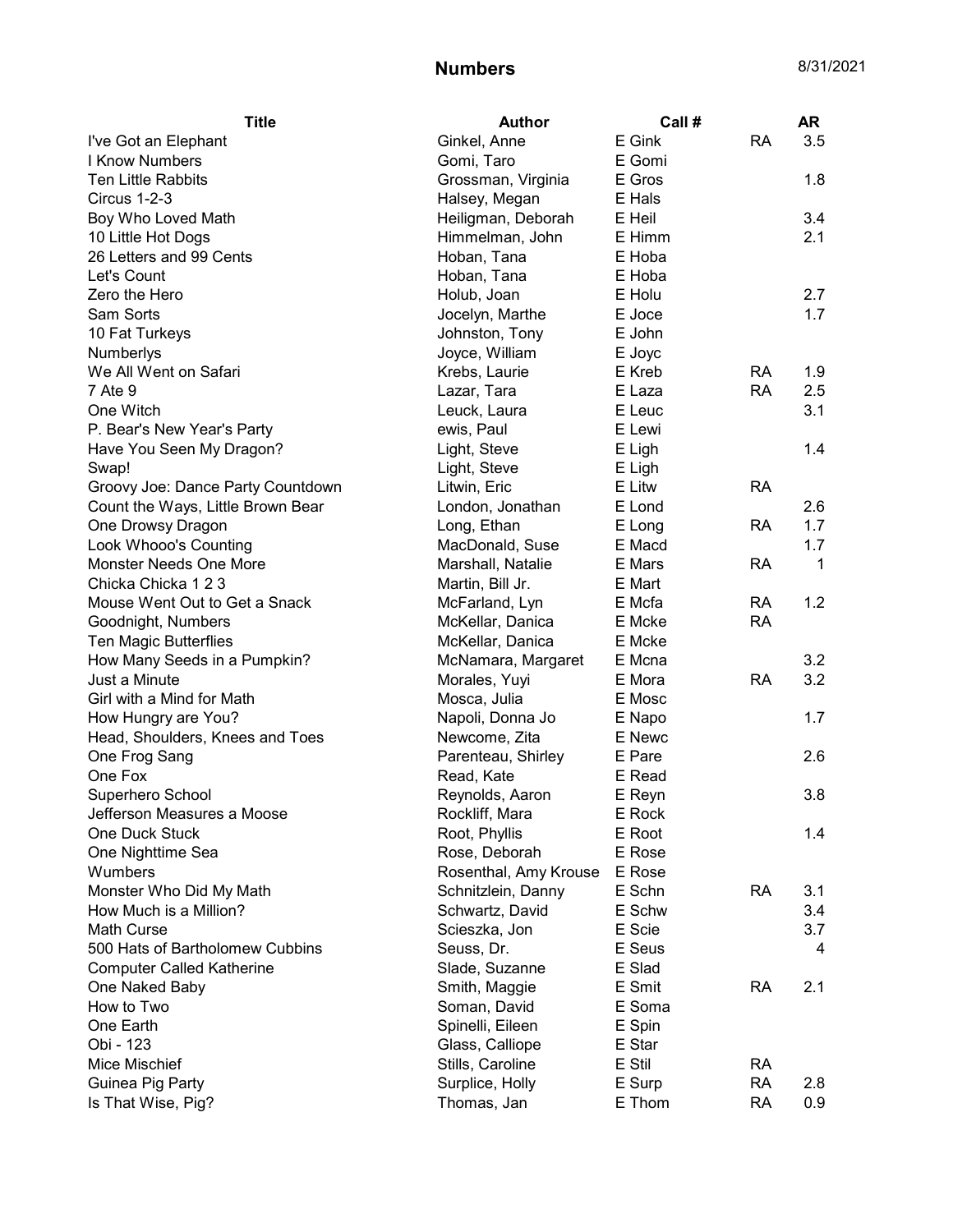| <b>Title</b>                      | <b>Author</b>         | Call # |           | <b>AR</b> |
|-----------------------------------|-----------------------|--------|-----------|-----------|
| I've Got an Elephant              | Ginkel, Anne          | E Gink | <b>RA</b> | 3.5       |
| I Know Numbers                    | Gomi, Taro            | E Gomi |           |           |
| <b>Ten Little Rabbits</b>         | Grossman, Virginia    | E Gros |           | 1.8       |
| Circus 1-2-3                      | Halsey, Megan         | E Hals |           |           |
| Boy Who Loved Math                | Heiligman, Deborah    | E Heil |           | 3.4       |
| 10 Little Hot Dogs                | Himmelman, John       | E Himm |           | 2.1       |
| 26 Letters and 99 Cents           | Hoban, Tana           | E Hoba |           |           |
| Let's Count                       | Hoban, Tana           | E Hoba |           |           |
| Zero the Hero                     | Holub, Joan           | E Holu |           | 2.7       |
| Sam Sorts                         | Jocelyn, Marthe       | E Joce |           | 1.7       |
| 10 Fat Turkeys                    | Johnston, Tony        | E John |           |           |
| Numberlys                         | Joyce, William        | E Joyc |           |           |
| We All Went on Safari             | Krebs, Laurie         | E Kreb | <b>RA</b> | 1.9       |
| 7 Ate 9                           | Lazar, Tara           | E Laza | <b>RA</b> | 2.5       |
| One Witch                         | Leuck, Laura          | E Leuc |           | 3.1       |
| P. Bear's New Year's Party        | ewis, Paul            | E Lewi |           |           |
| Have You Seen My Dragon?          | Light, Steve          | E Ligh |           | 1.4       |
| Swap!                             | Light, Steve          | E Ligh |           |           |
| Groovy Joe: Dance Party Countdown | Litwin, Eric          | E Litw | <b>RA</b> |           |
| Count the Ways, Little Brown Bear | London, Jonathan      | E Lond |           | 2.6       |
| One Drowsy Dragon                 | Long, Ethan           | E Long | RA        | 1.7       |
| Look Whooo's Counting             | MacDonald, Suse       | E Macd |           | 1.7       |
| Monster Needs One More            | Marshall, Natalie     | E Mars | RA        | 1         |
| Chicka Chicka 1 2 3               | Martin, Bill Jr.      | E Mart |           |           |
| Mouse Went Out to Get a Snack     | McFarland, Lyn        | E Mcfa | <b>RA</b> | 1.2       |
| Goodnight, Numbers                | McKellar, Danica      | E Mcke | <b>RA</b> |           |
| Ten Magic Butterflies             | McKellar, Danica      | E Mcke |           |           |
| How Many Seeds in a Pumpkin?      | McNamara, Margaret    | E Mcna |           | 3.2       |
| Just a Minute                     | Morales, Yuyi         | E Mora | <b>RA</b> | 3.2       |
| Girl with a Mind for Math         | Mosca, Julia          | E Mosc |           |           |
| How Hungry are You?               | Napoli, Donna Jo      | E Napo |           | 1.7       |
| Head, Shoulders, Knees and Toes   | Newcome, Zita         | E Newc |           |           |
| One Frog Sang                     | Parenteau, Shirley    | E Pare |           | 2.6       |
| One Fox                           | Read, Kate            | E Read |           |           |
| Superhero School                  | Reynolds, Aaron       | E Reyn |           | 3.8       |
| Jefferson Measures a Moose        | Rockliff, Mara        | E Rock |           |           |
| One Duck Stuck                    | Root, Phyllis         | E Root |           | 1.4       |
| One Nighttime Sea                 | Rose, Deborah         | E Rose |           |           |
| Wumbers                           | Rosenthal, Amy Krouse | E Rose |           |           |
| Monster Who Did My Math           | Schnitzlein, Danny    | E Schn | <b>RA</b> | 3.1       |
| How Much is a Million?            | Schwartz, David       | E Schw |           | 3.4       |
| Math Curse                        | Scieszka, Jon         | E Scie |           | 3.7       |
| 500 Hats of Bartholomew Cubbins   | Seuss, Dr.            | E Seus |           | 4         |
|                                   |                       |        |           |           |
| <b>Computer Called Katherine</b>  | Slade, Suzanne        | E Slad |           | 2.1       |
| One Naked Baby                    | Smith, Maggie         | E Smit | <b>RA</b> |           |
| How to Two                        | Soman, David          | E Soma |           |           |
| One Earth                         | Spinelli, Eileen      | E Spin |           |           |
| Obi - 123                         | Glass, Calliope       | E Star |           |           |
| Mice Mischief                     | Stills, Caroline      | E Stil | <b>RA</b> |           |
| Guinea Pig Party                  | Surplice, Holly       | E Surp | <b>RA</b> | 2.8       |
| Is That Wise, Pig?                | Thomas, Jan           | E Thom | <b>RA</b> | 0.9       |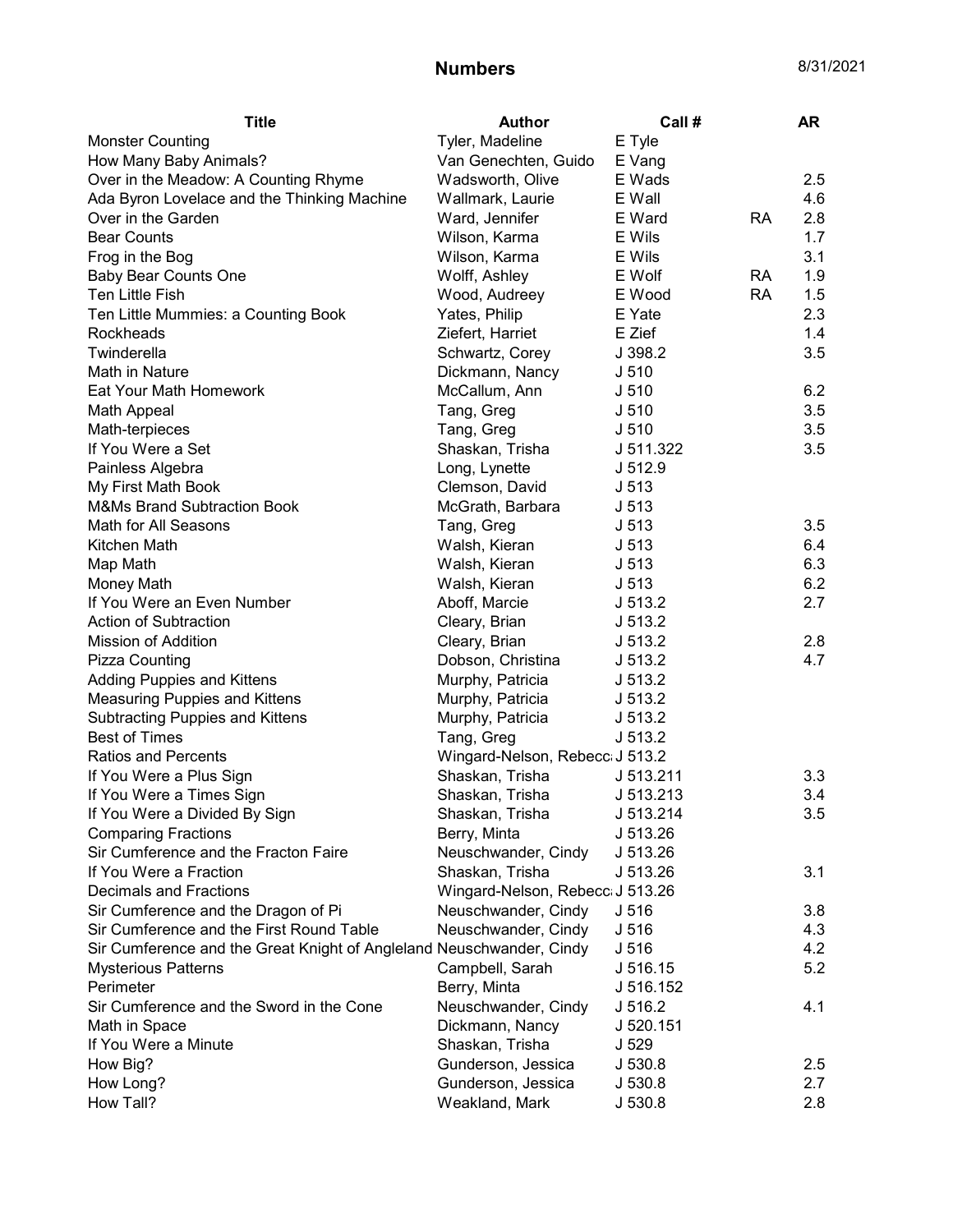| <b>Title</b>                                                         | <b>Author</b>                    | Call#            |           | AR  |
|----------------------------------------------------------------------|----------------------------------|------------------|-----------|-----|
| <b>Monster Counting</b>                                              | Tyler, Madeline                  | E Tyle           |           |     |
| How Many Baby Animals?                                               | Van Genechten, Guido             | E Vang           |           |     |
| Over in the Meadow: A Counting Rhyme                                 | Wadsworth, Olive                 | E Wads           |           | 2.5 |
| Ada Byron Lovelace and the Thinking Machine                          | Wallmark, Laurie                 | E Wall           |           | 4.6 |
| Over in the Garden                                                   | Ward, Jennifer                   | E Ward           | <b>RA</b> | 2.8 |
| <b>Bear Counts</b>                                                   | Wilson, Karma                    | E Wils           |           | 1.7 |
| Frog in the Bog                                                      | Wilson, Karma                    | E Wils           |           | 3.1 |
| <b>Baby Bear Counts One</b>                                          | Wolff, Ashley                    | E Wolf           | <b>RA</b> | 1.9 |
| Ten Little Fish                                                      | Wood, Audreey                    | E Wood           | <b>RA</b> | 1.5 |
| Ten Little Mummies: a Counting Book                                  | Yates, Philip                    | E Yate           |           | 2.3 |
| Rockheads                                                            | Ziefert, Harriet                 | E Zief           |           | 1.4 |
| Twinderella                                                          | Schwartz, Corey                  | J 398.2          |           | 3.5 |
| Math in Nature                                                       | Dickmann, Nancy                  | J <sub>510</sub> |           |     |
| Eat Your Math Homework                                               | McCallum, Ann                    | J <sub>510</sub> |           | 6.2 |
| Math Appeal                                                          | Tang, Greg                       | J <sub>510</sub> |           | 3.5 |
| Math-terpieces                                                       | Tang, Greg                       | J <sub>510</sub> |           | 3.5 |
| If You Were a Set                                                    | Shaskan, Trisha                  | J 511.322        |           | 3.5 |
| Painless Algebra                                                     | Long, Lynette                    | J 512.9          |           |     |
| My First Math Book                                                   | Clemson, David                   | J 513            |           |     |
| <b>M&amp;Ms Brand Subtraction Book</b>                               | McGrath, Barbara                 | J <sub>513</sub> |           |     |
| Math for All Seasons                                                 | Tang, Greg                       | J <sub>513</sub> |           | 3.5 |
| Kitchen Math                                                         | Walsh, Kieran                    | J <sub>513</sub> |           | 6.4 |
| Map Math                                                             | Walsh, Kieran                    | J <sub>513</sub> |           | 6.3 |
| Money Math                                                           | Walsh, Kieran                    | J <sub>513</sub> |           | 6.2 |
| If You Were an Even Number                                           | Aboff, Marcie                    | J 513.2          |           | 2.7 |
| Action of Subtraction                                                | Cleary, Brian                    | J 513.2          |           |     |
| <b>Mission of Addition</b>                                           | Cleary, Brian                    | J 513.2          |           | 2.8 |
| Pizza Counting                                                       | Dobson, Christina                | J 513.2          |           | 4.7 |
| <b>Adding Puppies and Kittens</b>                                    | Murphy, Patricia                 | J 513.2          |           |     |
| Measuring Puppies and Kittens                                        | Murphy, Patricia                 | J 513.2          |           |     |
| Subtracting Puppies and Kittens                                      | Murphy, Patricia                 | J 513.2          |           |     |
| <b>Best of Times</b>                                                 | Tang, Greg                       | J 513.2          |           |     |
| <b>Ratios and Percents</b>                                           | Wingard-Nelson, Rebecc J 513.2   |                  |           |     |
| If You Were a Plus Sign                                              | Shaskan, Trisha                  | J 513.211        |           | 3.3 |
| If You Were a Times Sign                                             | Shaskan, Trisha                  | J 513.213        |           | 3.4 |
| If You Were a Divided By Sign                                        | Shaskan, Trisha                  | J 513.214        |           | 3.5 |
| <b>Comparing Fractions</b>                                           | Berry, Minta                     | J 513.26         |           |     |
| Sir Cumference and the Fracton Faire                                 | Neuschwander, Cindy              | J 513.26         |           |     |
| If You Were a Fraction                                               | Shaskan, Trisha                  | J 513.26         |           | 3.1 |
| <b>Decimals and Fractions</b>                                        | Wingard-Nelson, Rebecc: J 513.26 |                  |           |     |
| Sir Cumference and the Dragon of Pi                                  | Neuschwander, Cindy              | J 516            |           | 3.8 |
| Sir Cumference and the First Round Table                             | Neuschwander, Cindy              | J 516            |           | 4.3 |
| Sir Cumference and the Great Knight of Angleland Neuschwander, Cindy |                                  | J 516            |           | 4.2 |
| <b>Mysterious Patterns</b>                                           | Campbell, Sarah                  | J 516.15         |           | 5.2 |
| Perimeter                                                            | Berry, Minta                     | J 516.152        |           |     |
| Sir Cumference and the Sword in the Cone                             | Neuschwander, Cindy              | J 516.2          |           | 4.1 |
| Math in Space                                                        | Dickmann, Nancy                  | J 520.151        |           |     |
| If You Were a Minute                                                 | Shaskan, Trisha                  | J 529            |           |     |
| How Big?                                                             | Gunderson, Jessica               | J 530.8          |           | 2.5 |
| How Long?                                                            | Gunderson, Jessica               | J 530.8          |           | 2.7 |
| How Tall?                                                            | Weakland, Mark                   | J 530.8          |           | 2.8 |
|                                                                      |                                  |                  |           |     |